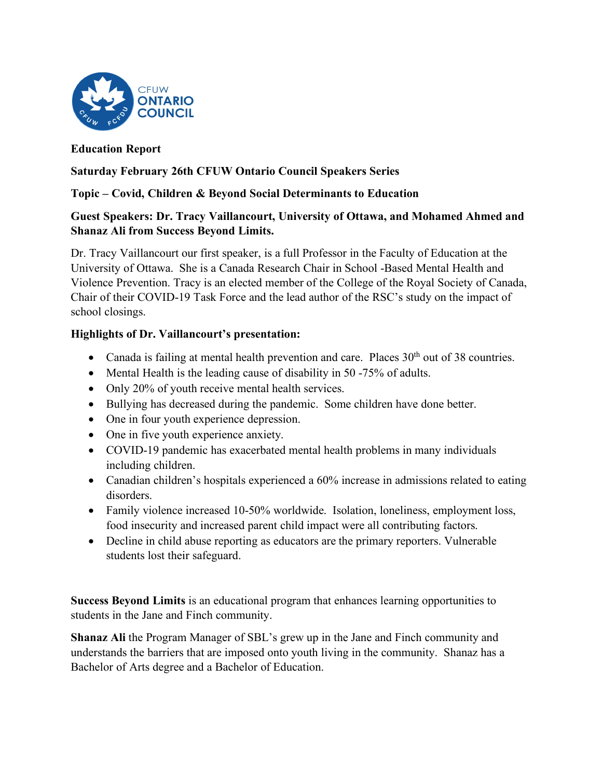

# **Education Report**

## **Saturday February 26th CFUW Ontario Council Speakers Series**

# **Topic – Covid, Children & Beyond Social Determinants to Education**

## **Guest Speakers: Dr. Tracy Vaillancourt, University of Ottawa, and Mohamed Ahmed and Shanaz Ali from Success Beyond Limits.**

Dr. Tracy Vaillancourt our first speaker, is a full Professor in the Faculty of Education at the University of Ottawa. She is a Canada Research Chair in School -Based Mental Health and Violence Prevention. Tracy is an elected member of the College of the Royal Society of Canada, Chair of their COVID-19 Task Force and the lead author of the RSC's study on the impact of school closings.

# **Highlights of Dr. Vaillancourt's presentation:**

- Canada is failing at mental health prevention and care. Places  $30<sup>th</sup>$  out of 38 countries.
- Mental Health is the leading cause of disability in 50 -75% of adults.
- Only 20% of youth receive mental health services.
- Bullying has decreased during the pandemic. Some children have done better.
- One in four youth experience depression.
- One in five youth experience anxiety.
- COVID-19 pandemic has exacerbated mental health problems in many individuals including children.
- Canadian children's hospitals experienced a 60% increase in admissions related to eating disorders.
- Family violence increased 10-50% worldwide. Isolation, loneliness, employment loss, food insecurity and increased parent child impact were all contributing factors.
- Decline in child abuse reporting as educators are the primary reporters. Vulnerable students lost their safeguard.

**Success Beyond Limits** is an educational program that enhances learning opportunities to students in the Jane and Finch community.

**Shanaz Ali** the Program Manager of SBL's grew up in the Jane and Finch community and understands the barriers that are imposed onto youth living in the community. Shanaz has a Bachelor of Arts degree and a Bachelor of Education.